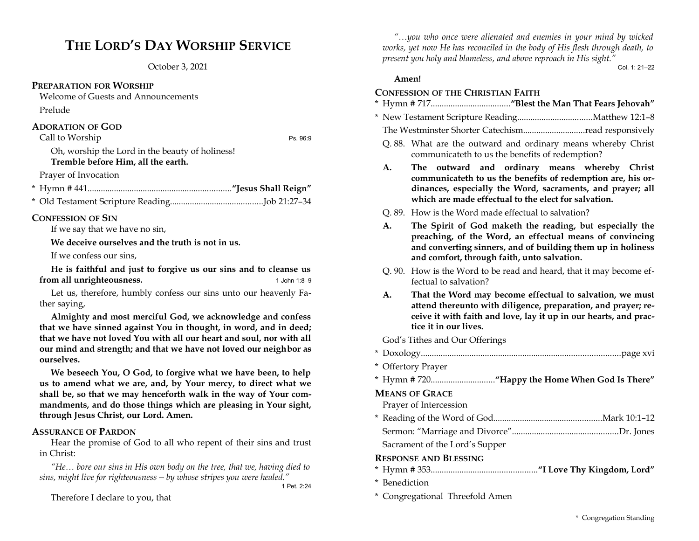# **THE LORD'S DAY WORSHIP SERVICE**

October 3, 2021

# **PREPARATION FOR WORSHIP**

Welcome of Guests and Announcements Prelude

# **ADORATION OF GOD**

Call to Worship Ps. 96:9

Oh, worship the Lord in the beauty of holiness!

# **Tremble before Him, all the earth.**

Prayer of Invocation

- \* Hymn # 441.................................................................**"Jesus Shall Reign"**
- \* Old Testament Scripture Reading..........................................Job 21:27–34

## **CONFESSION OF SIN**

If we say that we have no sin,

**We deceive ourselves and the truth is not in us.**

If we confess our sins,

**He is faithful and just to forgive us our sins and to cleanse us from all unrighteousness.** 1 John 1:8-9

Let us, therefore, humbly confess our sins unto our heavenly Father saying,

**Almighty and most merciful God, we acknowledge and confess that we have sinned against You in thought, in word, and in deed; that we have not loved You with all our heart and soul, nor with all our mind and strength; and that we have not loved our neighbor as ourselves.**

**We beseech You, O God, to forgive what we have been, to help us to amend what we are, and, by Your mercy, to direct what we shall be, so that we may henceforth walk in the way of Your commandments, and do those things which are pleasing in Your sight, through Jesus Christ, our Lord. Amen.**

## **ASSURANCE OF PARDON**

Hear the promise of God to all who repent of their sins and trust in Christ:

*"He… bore our sins in His own body on the tree, that we, having died to sins, might live for righteousness—by whose stripes you were healed."*

1 Pet. 2:24

Therefore I declare to you, that

*"…you who once were alienated and enemies in your mind by wicked works, yet now He has reconciled in the body of His flesh through death, to present you holy and blameless, and above reproach in His sight."* Col. 1: 21–22

## **Amen!**

## **CONFESSION OF THE CHRISTIAN FAITH**

- \* Hymn # 717....................................**"Blest the Man That Fears Jehovah"**
- \* New Testament Scripture Reading..................................Matthew 12:1–8
	- The Westminster Shorter Catechism............................read responsively
	- Q. 88. What are the outward and ordinary means whereby Christ communicateth to us the benefits of redemption?
	- **A. The outward and ordinary means whereby Christ communicateth to us the benefits of redemption are, his ordinances, especially the Word, sacraments, and prayer; all which are made effectual to the elect for salvation.**
	- Q. 89. How is the Word made effectual to salvation?
	- **A. The Spirit of God maketh the reading, but especially the preaching, of the Word, an effectual means of convincing and converting sinners, and of building them up in holiness and comfort, through faith, unto salvation.**
	- Q. 90. How is the Word to be read and heard, that it may become effectual to salvation?
	- **A. That the Word may become effectual to salvation, we must attend thereunto with diligence, preparation, and prayer; receive it with faith and love, lay it up in our hearts, and practice it in our lives.**

God's Tithes and Our Offerings

- \* Doxology..........................................................................................page xvi
- \* Offertory Prayer
- \* Hymn # 720.............................**"Happy the Home When God Is There"**

## **MEANS OF GRACE**

Prayer of Intercession

\* Reading of the Word of God.................................................Mark 10:1–12 Sermon: "Marriage and Divorce"................................................Dr. Jones

Sacrament of the Lord's Supper

# **RESPONSE AND BLESSING**

- \* Hymn # 353................................................**"I Love Thy Kingdom, Lord"**
- \* Benediction
- \* Congregational Threefold Amen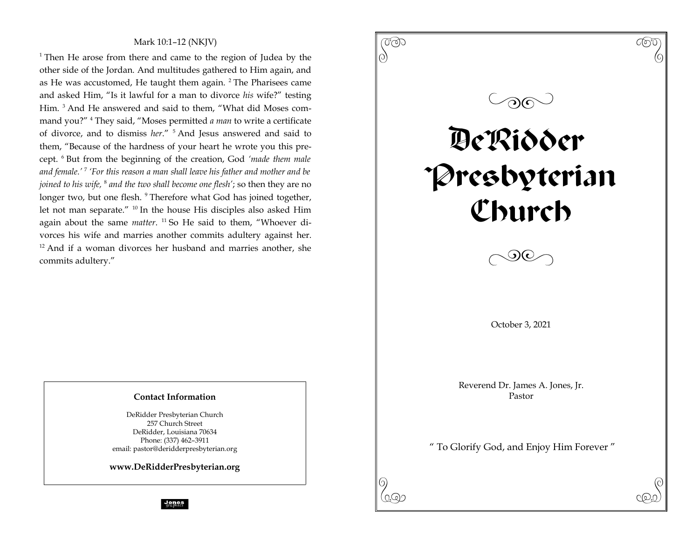# Mark 10:1–12 (NKJV)

<sup>1</sup> Then He arose from there and came to the region of Judea by the other side of the Jordan. And multitudes gathered to Him again, and as He was accustomed, He taught them again. <sup>2</sup> The Pharisees came and asked Him, "Is it lawful for a man to divorce *his* wife?" testing Him. <sup>3</sup> And He answered and said to them, "What did Moses command you?" <sup>4</sup> They said, "Moses permitted *a man* to write a certificate of divorce, and to dismiss *her*." <sup>5</sup> And Jesus answered and said to them, "Because of the hardness of your heart he wrote you this precept. <sup>6</sup> But from the beginning of the creation, God *'made them male and female.'* <sup>7</sup> *'For this reason a man shall leave his father and mother and be joined to his wife,* <sup>8</sup> *and the two shall become one flesh'*; so then they are no longer two, but one flesh. <sup>9</sup> Therefore what God has joined together, let not man separate." <sup>10</sup> In the house His disciples also asked Him again about the same *matter*. <sup>11</sup> So He said to them, "Whoever divorces his wife and marries another commits adultery against her. <sup>12</sup> And if a woman divorces her husband and marries another, she commits adultery."

# $\begin{pmatrix} 0 & 0 & 0 \ 0 & 0 & 0 \end{pmatrix}$  $\circledcirc$ DeRidder Presbyterian Church  $\Diamond$ October 3, 2021 Reverend Dr. James A. Jones, Jr. Pastor " To Glorify God, and Enjoy Him Forever "

 $\mathcal{P}(\mathcal{P})$ 

# **Contact Information**

DeRidder Presbyterian Church 257 Church Street DeRidder, Louisiana 70634 Phone: (337) 462–3911 email: pastor@deridderpresbyterian.org

**www.DeRidderPresbyterian.org**

**Jones**<br>graphics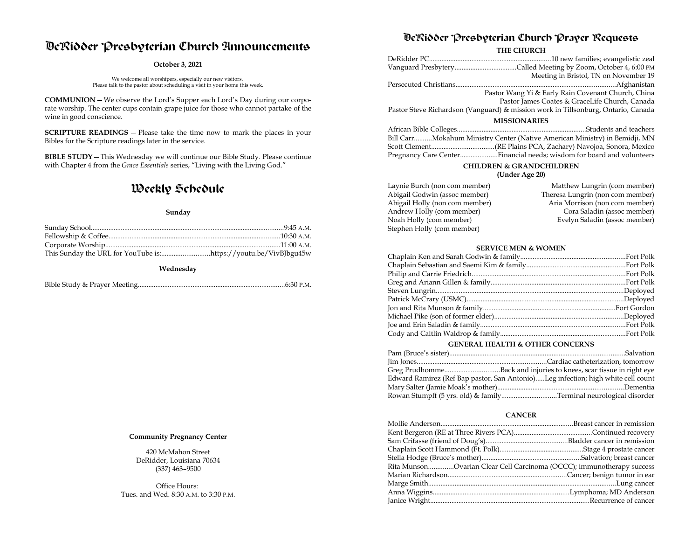# DeRidder Presbyterian Church Announcements

#### **October 3, 2021**

We welcome all worshipers, especially our new visitors. Please talk to the pastor about scheduling a visit in your home this week.

**COMMUNION**—We observe the Lord's Supper each Lord's Day during our corporate worship. The center cups contain grape juice for those who cannot partake of the wine in good conscience.

**SCRIPTURE READINGS** — Please take the time now to mark the places in your Bibles for the Scripture readings later in the service.

**BIBLE STUDY**—This Wednesday we will continue our Bible Study. Please continue with Chapter 4 from the *Grace Essentials* series, "Living with the Living God."

# Weekly Schedule

#### **Sunday**

**Wednesday**

|--|--|

#### **Community Pregnancy Center**

420 McMahon Street DeRidder, Louisiana 70634 (337) 463–9500

Office Hours: Tues. and Wed. 8:30 A.M. to 3:30 P.M.

# DeRidder Presbyterian Church Prayer Requests

**THE CHURCH**

|                                                                                   | Meeting in Bristol, TN on November 19                                      |  |
|-----------------------------------------------------------------------------------|----------------------------------------------------------------------------|--|
|                                                                                   |                                                                            |  |
|                                                                                   | Pastor Wang Yi & Early Rain Covenant Church, China                         |  |
|                                                                                   | Pastor James Coates & GraceLife Church, Canada                             |  |
| Pastor Steve Richardson (Vanguard) & mission work in Tillsonburg, Ontario, Canada |                                                                            |  |
| <b>MISSIONARIES</b>                                                               |                                                                            |  |
|                                                                                   |                                                                            |  |
|                                                                                   | Bill CarrMokahum Ministry Center (Native American Ministry) in Bemidji, MN |  |
|                                                                                   |                                                                            |  |

## Pregnancy Care Center.....................Financial needs; wisdom for board and volunteers **CHILDREN & GRANDCHILDREN (Under Age 20)**

| Laynie Burch (non com member)  | Matthew Lungrin (com member)     |
|--------------------------------|----------------------------------|
|                                |                                  |
| Abigail Godwin (assoc member)  | Theresa Lungrin (non com member) |
| Abigail Holly (non com member) | Aria Morrison (non com member)   |
| Andrew Holly (com member)      | Cora Saladin (assoc member)      |
| Noah Holly (com member)        | Evelyn Saladin (assoc member)    |
| Stephen Holly (com member)     |                                  |

#### **SERVICE MEN & WOMEN**

#### **GENERAL HEALTH & OTHER CONCERNS**

| Edward Ramirez (Ref Bap pastor, San Antonio)Leg infection; high white cell count |  |
|----------------------------------------------------------------------------------|--|
|                                                                                  |  |
| Rowan Stumpff (5 yrs. old) & familyTerminal neurological disorder                |  |

#### **CANCER**

| Rita MunsonOvarian Clear Cell Carcinoma (OCCC); immunotherapy success |  |
|-----------------------------------------------------------------------|--|
|                                                                       |  |
|                                                                       |  |
|                                                                       |  |
|                                                                       |  |